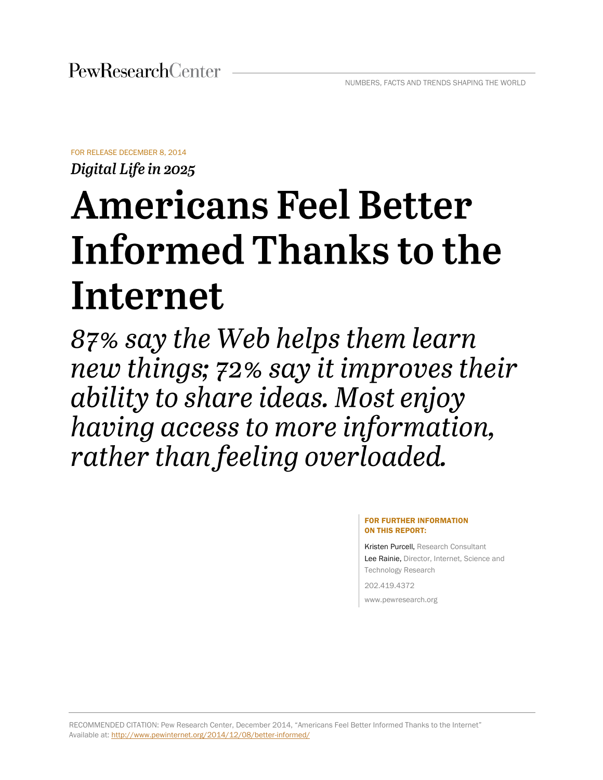FOR RELEASE DECEMBER 8, 2014

Digital Life in 2025

# **Americans Feel Better** Informed Thanks to the Internet

87% say the Web helps them learn new things; 72% say it improves their ability to share ideas. Most enjoy having access to more information, rather than feeling overloaded.

#### FOR FURTHER INFORMATION ON THIS REPORT:

Kristen Purcell, Research Consultant Lee Rainie, Director, Internet, Science and Technology Research

202.419.4372 www.pewresearch.org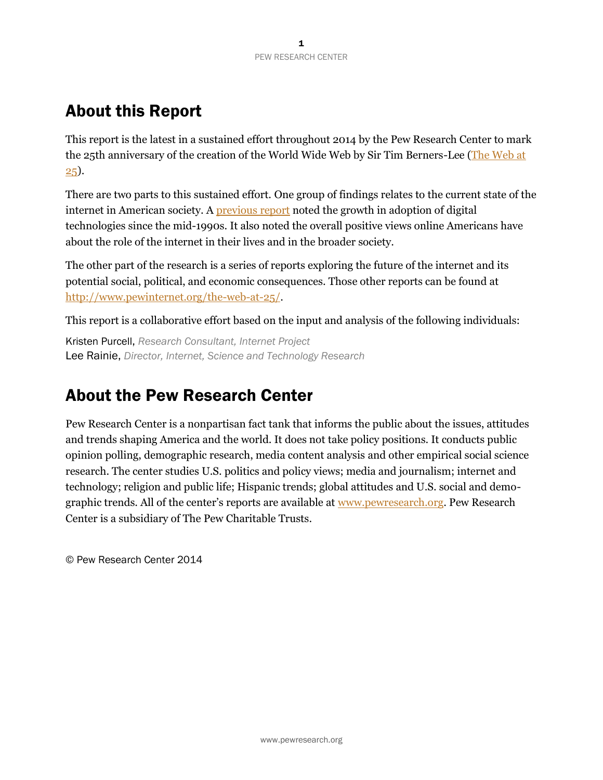# About this Report

This report is the latest in a sustained effort throughout 2014 by the Pew Research Center to mark the 25th anniversary of the creation of the World Wide Web by Sir Tim Berners-Lee (The Web at [25\)](http://www.pewinternet.org/packages/the-web-at-25/).

There are two parts to this sustained effort. One group of findings relates to the current state of the internet in American society. A **previous report** noted the growth in adoption of digital technologies since the mid-1990s. It also noted the overall positive views online Americans have about the role of the internet in their lives and in the broader society.

The other part of the research is a series of reports exploring the future of the internet and its potential social, political, and economic consequences. Those other reports can be found at [http://www.pewinternet.org/the-web-at-25/.](http://www.pewinternet.org/the-web-at-25/)

This report is a collaborative effort based on the input and analysis of the following individuals:

Kristen Purcell, *Research Consultant, Internet Project* Lee Rainie, *Director, Internet, Science and Technology Research*

# About the Pew Research Center

Pew Research Center is a nonpartisan fact tank that informs the public about the issues, attitudes and trends shaping America and the world. It does not take policy positions. It conducts public opinion polling, demographic research, media content analysis and other empirical social science research. The center studies U.S. politics and policy views; media and journalism; internet and technology; religion and public life; Hispanic trends; global attitudes and U.S. social and demographic trends. All of the center's reports are available at [www.pewresearch.org.](http://www.pewresearch.org/) Pew Research Center is a subsidiary of The Pew Charitable Trusts.

© Pew Research Center 2014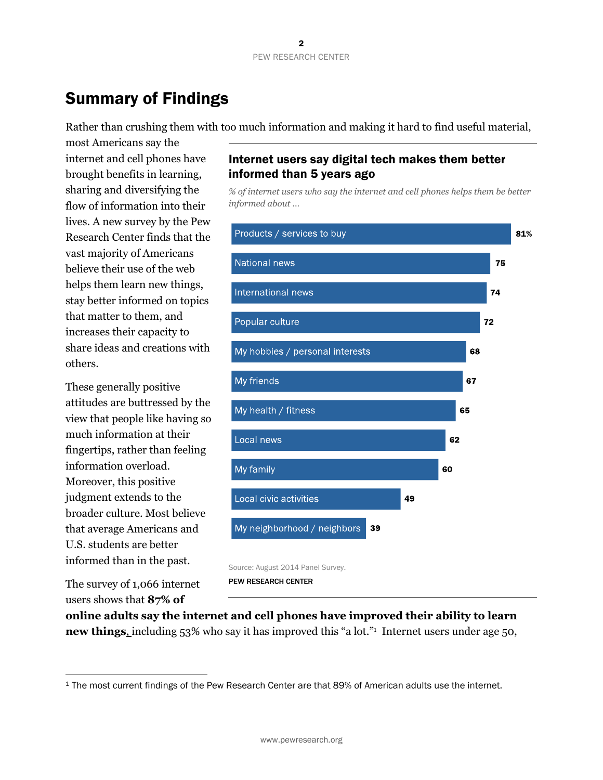# Summary of Findings

Rather than crushing them with too much information and making it hard to find useful material,

most Americans say the internet and cell phones have brought benefits in learning, sharing and diversifying the flow of information into their lives. A new survey by the Pew Research Center finds that the vast majority of Americans believe their use of the web helps them learn new things, stay better informed on topics that matter to them, and increases their capacity to share ideas and creations with others.

These generally positive attitudes are buttressed by the view that people like having so much information at their fingertips, rather than feeling information overload. Moreover, this positive judgment extends to the broader culture. Most believe that average Americans and U.S. students are better informed than in the past.

The survey of 1,066 internet users shows that **87% of** 

# Internet users say digital tech makes them better informed than 5 years ago

*% of internet users who say the internet and cell phones helps them be better informed about …* 



PEW RESEARCH CENTER

**online adults say the internet and cell phones have improved their ability to learn new things**, including 53% who say it has improved this "a lot." 1 Internet users under age 50,

<sup>1</sup> The most current findings of the Pew Research Center are that 89% of American adults use the internet.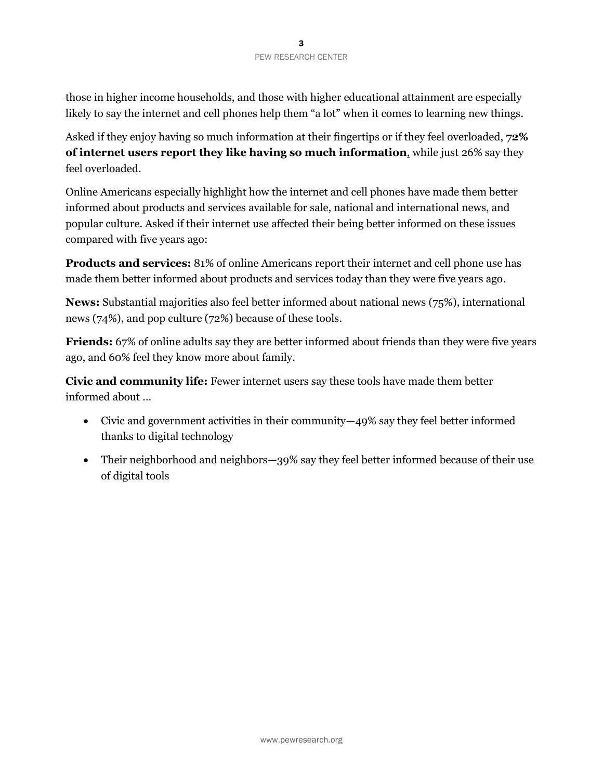those in higher income households, and those with higher educational attainment are especially likely to say the internet and cell phones help them "a lot" when it comes to learning new things.

Asked if they enjoy having so much information at their fingertips or if they feel overloaded, **72% of internet users report they like having so much information**, while just 26% say they feel overloaded.

Online Americans especially highlight how the internet and cell phones have made them better informed about products and services available for sale, national and international news, and popular culture. Asked if their internet use affected their being better informed on these issues compared with five years ago:

**Products and services:** 81% of online Americans report their internet and cell phone use has made them better informed about products and services today than they were five years ago.

**News:** Substantial majorities also feel better informed about national news (75%), international news (74%), and pop culture (72%) because of these tools.

**Friends:** 67% of online adults say they are better informed about friends than they were five years ago, and 60% feel they know more about family.

**Civic and community life:** Fewer internet users say these tools have made them better informed about …

- Civic and government activities in their community—49% say they feel better informed thanks to digital technology
- Their neighborhood and neighbors—39% say they feel better informed because of their use of digital tools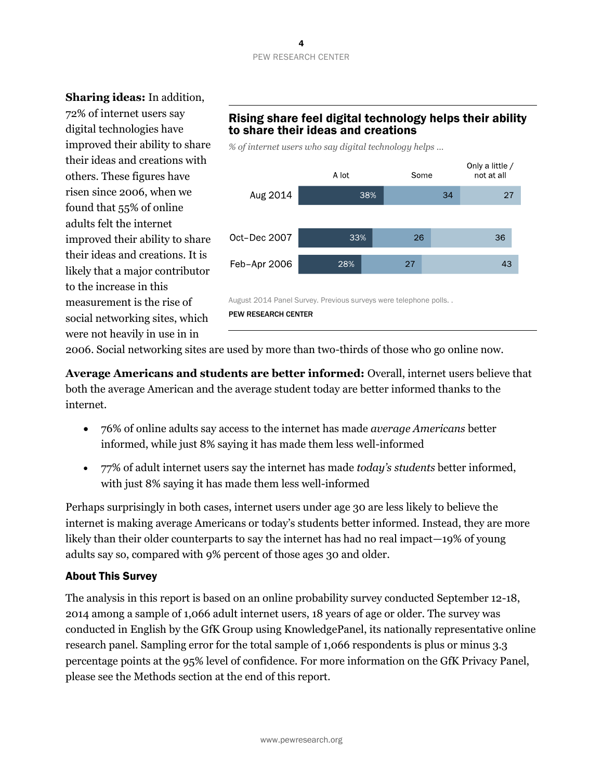#### 4 PEW RESEARCH CENTER

**Sharing ideas:** In addition, 72% of internet users say digital technologies have improved their ability to share their ideas and creations with others. These figures have risen since 2006, when we found that 55% of online adults felt the internet improved their ability to share their ideas and creations. It is likely that a major contributor to the increase in this measurement is the rise of social networking sites, which were not heavily in use in in

# Rising share feel digital technology helps their ability to share their ideas and creations

*% of internet users who say digital technology helps …*



PEW RESEARCH CENTER

2006. Social networking sites are used by more than two-thirds of those who go online now.

**Average Americans and students are better informed:** Overall, internet users believe that both the average American and the average student today are better informed thanks to the internet.

- 76% of online adults say access to the internet has made *average Americans* better informed, while just 8% saying it has made them less well-informed
- 77% of adult internet users say the internet has made *today's students* better informed, with just 8% saying it has made them less well-informed

Perhaps surprisingly in both cases, internet users under age 30 are less likely to believe the internet is making average Americans or today's students better informed. Instead, they are more likely than their older counterparts to say the internet has had no real impact—19% of young adults say so, compared with 9% percent of those ages 30 and older.

## About This Survey

The analysis in this report is based on an online probability survey conducted September 12-18, 2014 among a sample of 1,066 adult internet users, 18 years of age or older. The survey was conducted in English by the GfK Group using KnowledgePanel, its nationally representative online research panel. Sampling error for the total sample of 1,066 respondents is plus or minus 3.3 percentage points at the 95% level of confidence. For more information on the GfK Privacy Panel, please see the Methods section at the end of this report.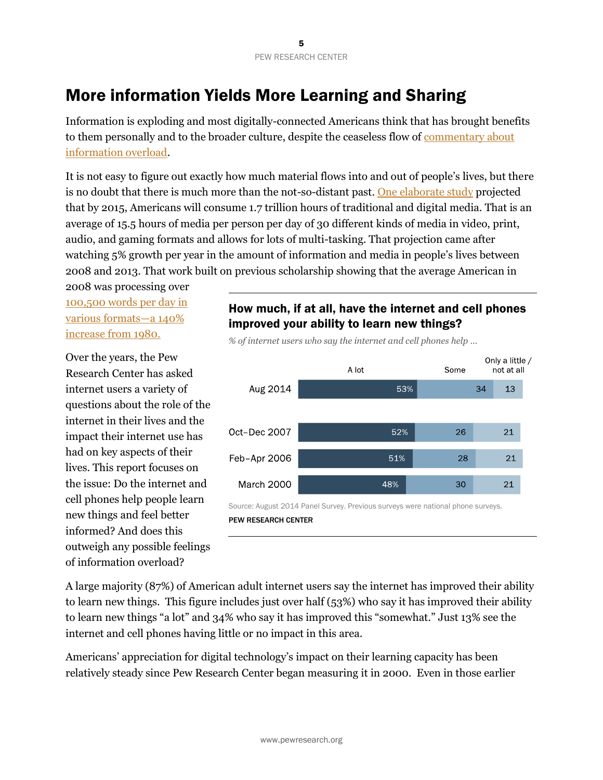# More information Yields More Learning and Sharing

Information is exploding and most digitally-connected Americans think that has brought benefits to them personally and to the broader culture, despite the ceaseless flow of [commentary about](https://www.google.com/webhp?sourceid=chrome-instant&ion=1&espv=2&ie=UTF-8#q=information+overload&tbm=nws)  [information overload.](https://www.google.com/webhp?sourceid=chrome-instant&ion=1&espv=2&ie=UTF-8#q=information+overload&tbm=nws)

It is not easy to figure out exactly how much material flows into and out of people's lives, but there is no doubt that there is much more than the not-so-distant past. [One elaborate study](http://www.marshall.usc.edu/faculty/centers/ctm/research/how-much-media) projected that by 2015, Americans will consume 1.7 trillion hours of traditional and digital media. That is an average of 15.5 hours of media per person per day of 30 different kinds of media in video, print, audio, and gaming formats and allows for lots of multi-tasking. That projection came after watching 5% growth per year in the amount of information and media in people's lives between 2008 and 2013. That work built on previous scholarship showing that the average American in

2008 was processing over [100,500 words per day](http://hmi.ucsd.edu/pdf/HMI_2009_ConsumerReport_Dec9_2009.pdf) in [various formats](http://hmi.ucsd.edu/pdf/HMI_2009_ConsumerReport_Dec9_2009.pdf)—a 140% [increase from 1980.](http://hmi.ucsd.edu/pdf/HMI_2009_ConsumerReport_Dec9_2009.pdf)

Over the years, the Pew Research Center has asked internet users a variety of questions about the role of the internet in their lives and the impact their internet use has had on key aspects of their lives. This report focuses on the issue: Do the internet and cell phones help people learn new things and feel better informed? And does this outweigh any possible feelings of information overload?

# How much, if at all, have the internet and cell phones improved your ability to learn new things?





A large majority (87%) of American adult internet users say the internet has improved their ability to learn new things. This figure includes just over half (53%) who say it has improved their ability to learn new things "a lot" and 34% who say it has improved this "somewhat." Just 13% see the internet and cell phones having little or no impact in this area.

Americans' appreciation for digital technology's impact on their learning capacity has been relatively steady since Pew Research Center began measuring it in 2000. Even in those earlier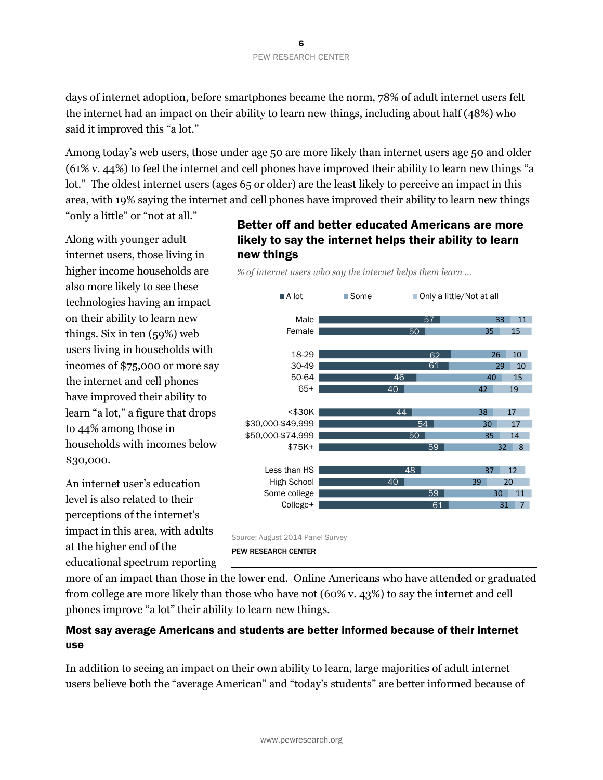days of internet adoption, before smartphones became the norm, 78% of adult internet users felt the internet had an impact on their ability to learn new things, including about half (48%) who said it improved this "a lot."

Among today's web users, those under age 50 are more likely than internet users age 50 and older (61% v. 44%) to feel the internet and cell phones have improved their ability to learn new things "a lot." The oldest internet users (ages 65 or older) are the least likely to perceive an impact in this area, with 19% saying the internet and cell phones have improved their ability to learn new things

"only a little" or "not at all."

Along with younger adult internet users, those living in higher income households are also more likely to see these technologies having an impact on their ability to learn new things. Six in ten (59%) web users living in households with incomes of \$75,000 or more say the internet and cell phones have improved their ability to learn "a lot," a figure that drops to 44% among those in households with incomes below \$30,000.

An internet user's education level is also related to their perceptions of the internet's impact in this area, with adults at the higher end of the educational spectrum reporting

# Better off and better educated Americans are more likely to say the internet helps their ability to learn new things

*% of internet users who say the internet helps them learn …*



Source: August 2014 Panel Survey PEW RESEARCH CENTER

more of an impact than those in the lower end. Online Americans who have attended or graduated from college are more likely than those who have not (60% v. 43%) to say the internet and cell phones improve "a lot" their ability to learn new things.

# Most say average Americans and students are better informed because of their internet use

In addition to seeing an impact on their own ability to learn, large majorities of adult internet users believe both the "average American" and "today's students" are better informed because of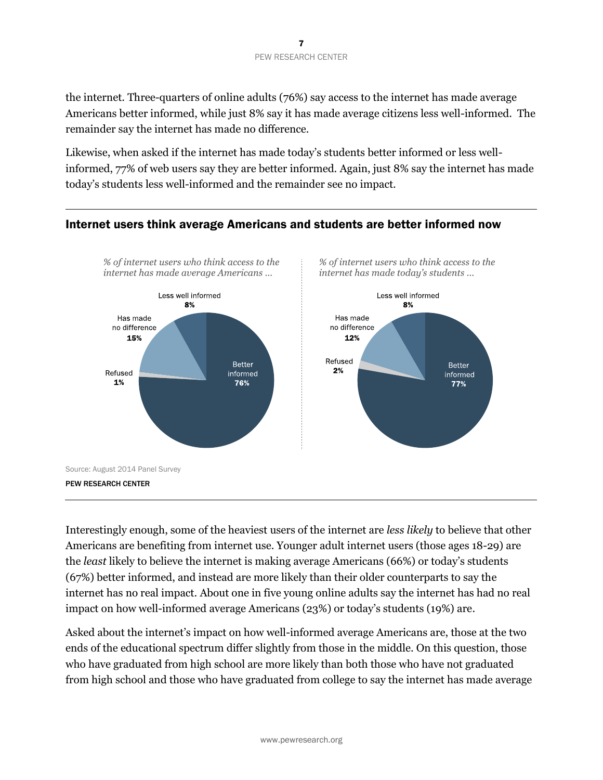the internet. Three-quarters of online adults (76%) say access to the internet has made average Americans better informed, while just 8% say it has made average citizens less well-informed. The remainder say the internet has made no difference.

Likewise, when asked if the internet has made today's students better informed or less wellinformed, 77% of web users say they are better informed. Again, just 8% say the internet has made today's students less well-informed and the remainder see no impact.



# Interestingly enough, some of the heaviest users of the internet are *less likely* to believe that other Americans are benefiting from internet use. Younger adult internet users (those ages 18-29) are the *least* likely to believe the internet is making average Americans (66%) or today's students (67%) better informed, and instead are more likely than their older counterparts to say the internet has no real impact. About one in five young online adults say the internet has had no real

Asked about the internet's impact on how well-informed average Americans are, those at the two ends of the educational spectrum differ slightly from those in the middle. On this question, those who have graduated from high school are more likely than both those who have not graduated from high school and those who have graduated from college to say the internet has made average

impact on how well-informed average Americans (23%) or today's students (19%) are.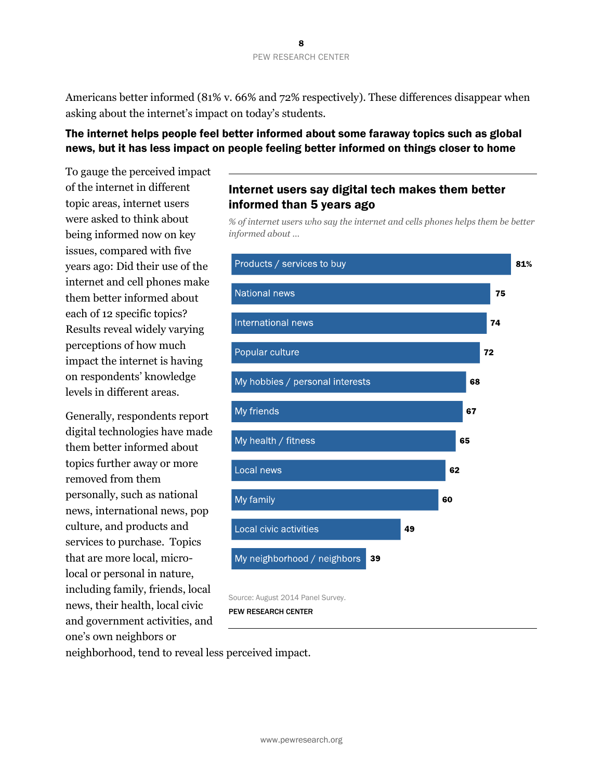#### 8 PEW RESEARCH CENTER

Americans better informed (81% v. 66% and 72% respectively). These differences disappear when asking about the internet's impact on today's students.

## The internet helps people feel better informed about some faraway topics such as global news, but it has less impact on people feeling better informed on things closer to home

To gauge the perceived impact of the internet in different topic areas, internet users were asked to think about being informed now on key issues, compared with five years ago: Did their use of the internet and cell phones make them better informed about each of 12 specific topics? Results reveal widely varying perceptions of how much impact the internet is having on respondents' knowledge levels in different areas.

Generally, respondents report digital technologies have made them better informed about topics further away or more removed from them personally, such as national news, international news, pop culture, and products and services to purchase. Topics that are more local, microlocal or personal in nature, including family, friends, local news, their health, local civic and government activities, and one's own neighbors or

# Internet users say digital tech makes them better informed than 5 years ago

*% of internet users who say the internet and cells phones helps them be better informed about …* 



Source: August 2014 Panel Survey.

PEW RESEARCH CENTER

neighborhood, tend to reveal less perceived impact.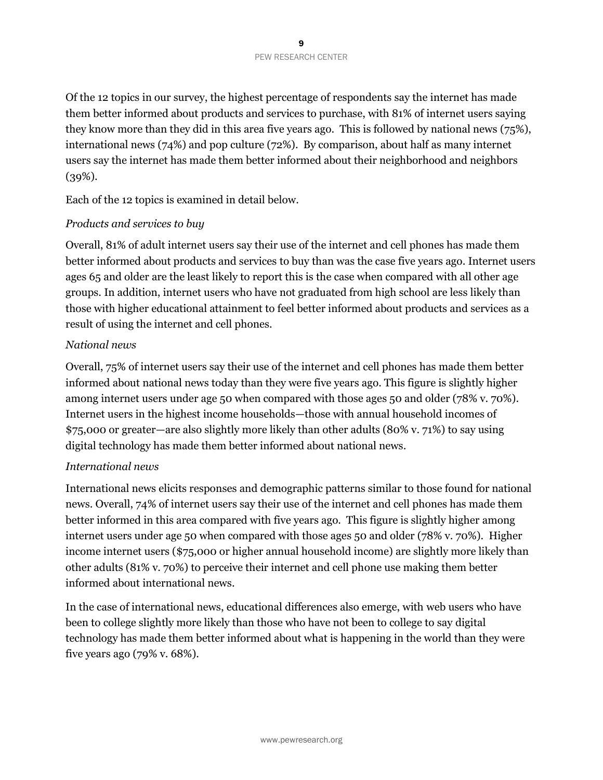Of the 12 topics in our survey, the highest percentage of respondents say the internet has made them better informed about products and services to purchase, with 81% of internet users saying they know more than they did in this area five years ago. This is followed by national news (75%), international news (74%) and pop culture (72%). By comparison, about half as many internet users say the internet has made them better informed about their neighborhood and neighbors  $(39\%).$ 

Each of the 12 topics is examined in detail below.

#### *Products and services to buy*

Overall, 81% of adult internet users say their use of the internet and cell phones has made them better informed about products and services to buy than was the case five years ago. Internet users ages 65 and older are the least likely to report this is the case when compared with all other age groups. In addition, internet users who have not graduated from high school are less likely than those with higher educational attainment to feel better informed about products and services as a result of using the internet and cell phones.

#### *National news*

Overall, 75% of internet users say their use of the internet and cell phones has made them better informed about national news today than they were five years ago. This figure is slightly higher among internet users under age 50 when compared with those ages 50 and older (78% v. 70%). Internet users in the highest income households—those with annual household incomes of \$75,000 or greater—are also slightly more likely than other adults (80% v. 71%) to say using digital technology has made them better informed about national news.

#### *International news*

International news elicits responses and demographic patterns similar to those found for national news. Overall, 74% of internet users say their use of the internet and cell phones has made them better informed in this area compared with five years ago. This figure is slightly higher among internet users under age 50 when compared with those ages 50 and older (78% v. 70%). Higher income internet users (\$75,000 or higher annual household income) are slightly more likely than other adults (81% v. 70%) to perceive their internet and cell phone use making them better informed about international news.

In the case of international news, educational differences also emerge, with web users who have been to college slightly more likely than those who have not been to college to say digital technology has made them better informed about what is happening in the world than they were five years ago (79% v. 68%).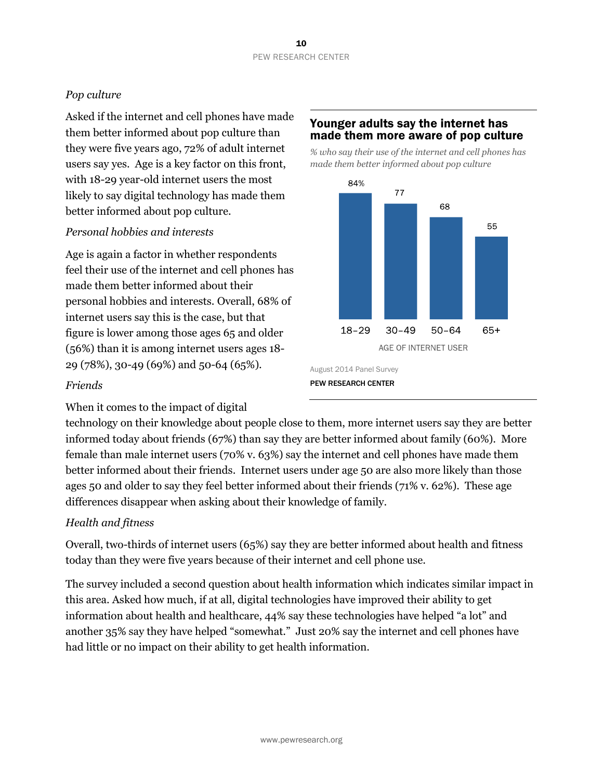## *Pop culture*

Asked if the internet and cell phones have made them better informed about pop culture than they were five years ago, 72% of adult internet users say yes. Age is a key factor on this front, with 18-29 year-old internet users the most likely to say digital technology has made them better informed about pop culture.

#### *Personal hobbies and interests*

Age is again a factor in whether respondents feel their use of the internet and cell phones has made them better informed about their personal hobbies and interests. Overall, 68% of internet users say this is the case, but that figure is lower among those ages 65 and older (56%) than it is among internet users ages 18- 29 (78%), 30-49 (69%) and 50-64 (65%).

## Younger adults say the internet has made them more aware of pop culture

*% who say their use of the internet and cell phones has made them better informed about pop culture*



#### *Friends*

When it comes to the impact of digital

technology on their knowledge about people close to them, more internet users say they are better informed today about friends (67%) than say they are better informed about family (60%). More female than male internet users (70% v. 63%) say the internet and cell phones have made them better informed about their friends. Internet users under age 50 are also more likely than those ages 50 and older to say they feel better informed about their friends (71% v. 62%). These age differences disappear when asking about their knowledge of family.

## *Health and fitness*

Overall, two-thirds of internet users (65%) say they are better informed about health and fitness today than they were five years because of their internet and cell phone use.

The survey included a second question about health information which indicates similar impact in this area. Asked how much, if at all, digital technologies have improved their ability to get information about health and healthcare, 44% say these technologies have helped "a lot" and another 35% say they have helped "somewhat." Just 20% say the internet and cell phones have had little or no impact on their ability to get health information.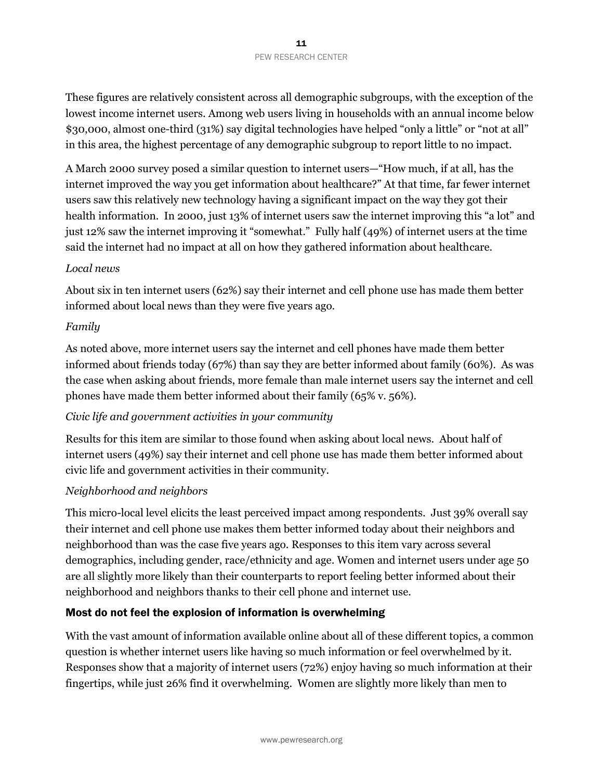These figures are relatively consistent across all demographic subgroups, with the exception of the lowest income internet users. Among web users living in households with an annual income below \$30,000, almost one-third (31%) say digital technologies have helped "only a little" or "not at all" in this area, the highest percentage of any demographic subgroup to report little to no impact.

A March 2000 survey posed a similar question to internet users—"How much, if at all, has the internet improved the way you get information about healthcare?" At that time, far fewer internet users saw this relatively new technology having a significant impact on the way they got their health information. In 2000, just 13% of internet users saw the internet improving this "a lot" and just 12% saw the internet improving it "somewhat." Fully half (49%) of internet users at the time said the internet had no impact at all on how they gathered information about healthcare.

#### *Local news*

About six in ten internet users (62%) say their internet and cell phone use has made them better informed about local news than they were five years ago.

#### *Family*

As noted above, more internet users say the internet and cell phones have made them better informed about friends today (67%) than say they are better informed about family (60%). As was the case when asking about friends, more female than male internet users say the internet and cell phones have made them better informed about their family (65% v. 56%).

## *Civic life and government activities in your community*

Results for this item are similar to those found when asking about local news. About half of internet users (49%) say their internet and cell phone use has made them better informed about civic life and government activities in their community.

#### *Neighborhood and neighbors*

This micro-local level elicits the least perceived impact among respondents. Just 39% overall say their internet and cell phone use makes them better informed today about their neighbors and neighborhood than was the case five years ago. Responses to this item vary across several demographics, including gender, race/ethnicity and age. Women and internet users under age 50 are all slightly more likely than their counterparts to report feeling better informed about their neighborhood and neighbors thanks to their cell phone and internet use.

## Most do not feel the explosion of information is overwhelming

With the vast amount of information available online about all of these different topics, a common question is whether internet users like having so much information or feel overwhelmed by it. Responses show that a majority of internet users (72%) enjoy having so much information at their fingertips, while just 26% find it overwhelming. Women are slightly more likely than men to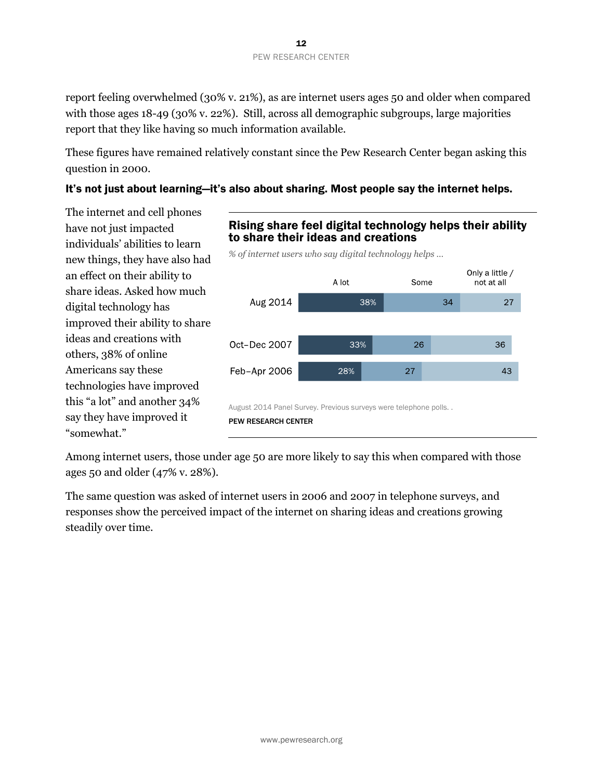report feeling overwhelmed (30% v. 21%), as are internet users ages 50 and older when compared with those ages 18-49 (30% v. 22%). Still, across all demographic subgroups, large majorities report that they like having so much information available.

These figures have remained relatively constant since the Pew Research Center began asking this question in 2000.

### It's not just about learning—it's also about sharing. Most people say the internet helps.

The internet and cell phones have not just impacted individuals' abilities to learn new things, they have also had an effect on their ability to share ideas. Asked how much digital technology has improved their ability to share ideas and creations with others, 38% of online Americans say these technologies have improved this "a lot" and another 34% say they have improved it "somewhat."



Among internet users, those under age 50 are more likely to say this when compared with those ages 50 and older (47% v. 28%).

The same question was asked of internet users in 2006 and 2007 in telephone surveys, and responses show the perceived impact of the internet on sharing ideas and creations growing steadily over time.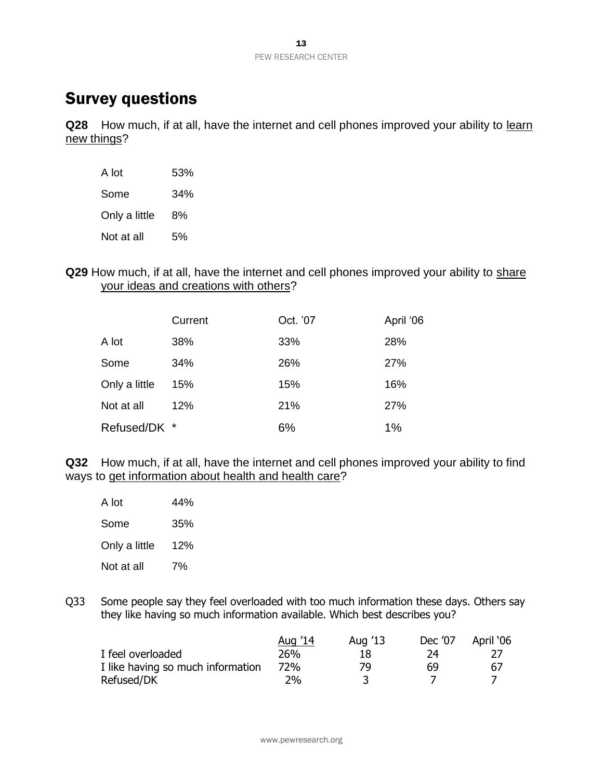# Survey questions

**Q28** How much, if at all, have the internet and cell phones improved your ability to learn new things?

| A lot         | 53% |
|---------------|-----|
| Some          | 34% |
| Only a little | 8%  |
| Not at all    | 5%  |

**Q29** How much, if at all, have the internet and cell phones improved your ability to share your ideas and creations with others?

|               | Current | Oct. '07 | April '06 |
|---------------|---------|----------|-----------|
| A lot         | 38%     | 33%      | 28%       |
| Some          | 34%     | 26%      | 27%       |
| Only a little | 15%     | 15%      | 16%       |
| Not at all    | 12%     | 21%      | 27%       |
| Refused/DK *  |         | 6%       | 1%        |

**Q32** How much, if at all, have the internet and cell phones improved your ability to find ways to get information about health and health care?

| A lot         | 44% |
|---------------|-----|
| Some          | 35% |
| Only a little | 12% |
| Not at all    | 7%  |

Q33 Some people say they feel overloaded with too much information these days. Others say they like having so much information available. Which best describes you?

|                                   | Aug '14 | Aug '13 | Dec '07 | April '06 |
|-----------------------------------|---------|---------|---------|-----------|
| I feel overloaded                 | 26%     | 18      |         |           |
| I like having so much information | 72%     | 79      | 69      | 67        |
| Refused/DK                        | 2%      |         |         |           |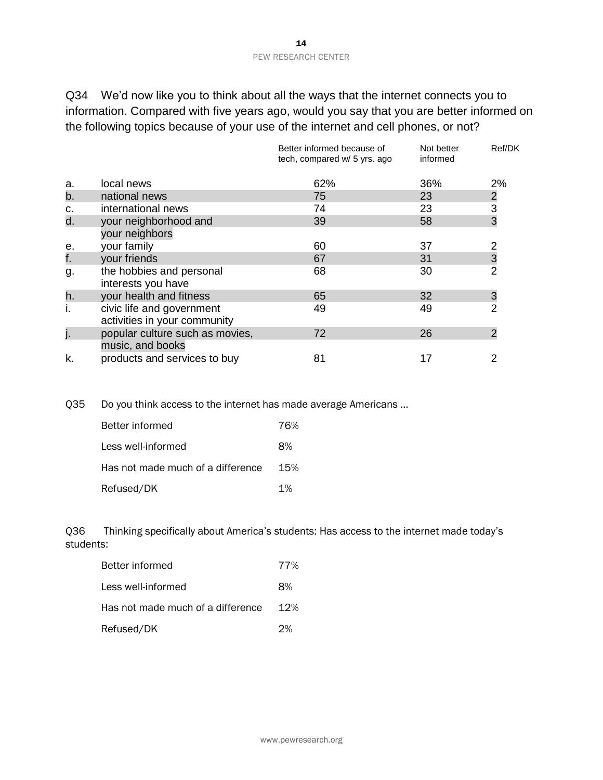#### 14 PEW RESEARCH CENTER

Q34 We'd now like you to think about all the ways that the internet connects you to information. Compared with five years ago, would you say that you are better informed on the following topics because of your use of the internet and cell phones, or not?

|    |                                                           | Better informed because of<br>tech, compared w/ 5 yrs. ago | Not better<br>informed | Ref/DK                                     |
|----|-----------------------------------------------------------|------------------------------------------------------------|------------------------|--------------------------------------------|
| a. | local news                                                | 62%                                                        | 36%                    | 2%                                         |
| b. | national news                                             | 75                                                         | 23                     |                                            |
| c. | international news                                        | 74                                                         | 23                     | $\begin{array}{c} 2 \\ 3 \\ 3 \end{array}$ |
| d. | your neighborhood and<br>your neighbors                   | 39                                                         | 58                     |                                            |
| е. | your family                                               | 60                                                         | 37                     | $\overline{2}$                             |
| f. | your friends                                              | 67                                                         | 31                     | $\frac{3}{2}$                              |
| g. | the hobbies and personal<br>interests you have            | 68                                                         | 30                     |                                            |
| h. | your health and fitness                                   | 65                                                         | 32                     | 3                                          |
|    | civic life and government<br>activities in your community | 49                                                         | 49                     | $\overline{2}$                             |
| j. | popular culture such as movies,<br>music, and books       | 72                                                         | 26                     | $\overline{2}$                             |
| k. | products and services to buy                              | 81                                                         | 17                     | 2                                          |

Q35 Do you think access to the internet has made average Americans …

| Better informed                   | 76%   |
|-----------------------------------|-------|
| Less well-informed                | 8%    |
| Has not made much of a difference | 15%   |
| Refused/DK                        | $1\%$ |

Q36 Thinking specifically about America's students: Has access to the internet made today's students:

| Better informed                   | 77% |
|-----------------------------------|-----|
| Less well-informed                | 8%  |
| Has not made much of a difference | 12% |
| Refused/DK                        | 2%  |